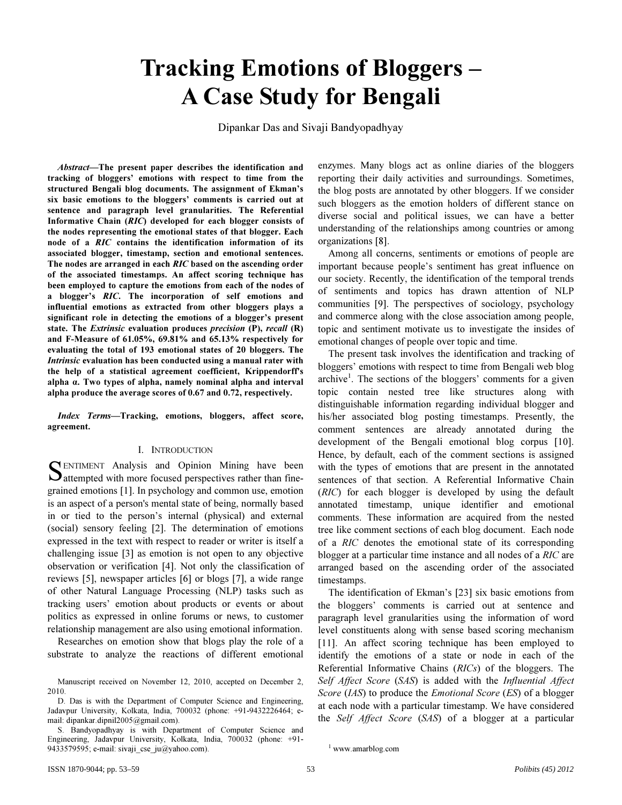# Tracking Emotions of Bloggers – A Case Study for Bengali

Dipankar Das and Sivaji Bandyopadhyay

Abstract—The present paper describes the identification and tracking of bloggers' emotions with respect to time from the structured Bengali blog documents. The assignment of Ekman's six basic emotions to the bloggers' comments is carried out at sentence and paragraph level granularities. The Referential Informative Chain (RIC) developed for each blogger consists of the nodes representing the emotional states of that blogger. Each node of a RIC contains the identification information of its associated blogger, timestamp, section and emotional sentences. The nodes are arranged in each RIC based on the ascending order of the associated timestamps. An affect scoring technique has been employed to capture the emotions from each of the nodes of a blogger's RIC. The incorporation of self emotions and influential emotions as extracted from other bloggers plays a significant role in detecting the emotions of a blogger's present state. The Extrinsic evaluation produces precision (P), recall (R) and F-Measure of 61.05%, 69.81% and 65.13% respectively for evaluating the total of 193 emotional states of 20 bloggers. The Intrinsic evaluation has been conducted using a manual rater with the help of a statistical agreement coefficient, Krippendorff's alpha α. Two types of alpha, namely nominal alpha and interval alpha produce the average scores of 0.67 and 0.72, respectively.

Index Terms—Tracking, emotions, bloggers, affect score, agreement.

#### I. INTRODUCTION

ENTIMENT Analysis and Opinion Mining have been SENTIMENT Analysis and Opinion Mining have been<br>Sattempted with more focused perspectives rather than finegrained emotions [1]. In psychology and common use, emotion is an aspect of a person's mental state of being, normally based in or tied to the person's internal (physical) and external (social) sensory feeling [2]. The determination of emotions expressed in the text with respect to reader or writer is itself a challenging issue [3] as emotion is not open to any objective observation or verification [4]. Not only the classification of reviews [5], newspaper articles [6] or blogs [7], a wide range of other Natural Language Processing (NLP) tasks such as tracking users' emotion about products or events or about politics as expressed in online forums or news, to customer relationship management are also using emotional information.

Researches on emotion show that blogs play the role of a substrate to analyze the reactions of different emotional

S. Bandyopadhyay is with Department of Computer Science and Engineering, Jadavpur University, Kolkata, India, 700032 (phone: +91- 9433579595; e-mail: sivaji\_cse\_ju@yahoo.com).

enzymes. Many blogs act as online diaries of the bloggers reporting their daily activities and surroundings. Sometimes, the blog posts are annotated by other bloggers. If we consider such bloggers as the emotion holders of different stance on diverse social and political issues, we can have a better understanding of the relationships among countries or among organizations [8].

Among all concerns, sentiments or emotions of people are important because people's sentiment has great influence on our society. Recently, the identification of the temporal trends of sentiments and topics has drawn attention of NLP communities [9]. The perspectives of sociology, psychology and commerce along with the close association among people, topic and sentiment motivate us to investigate the insides of emotional changes of people over topic and time.

The present task involves the identification and tracking of bloggers' emotions with respect to time from Bengali web blog archive<sup>1</sup>. The sections of the bloggers' comments for a given topic contain nested tree like structures along with distinguishable information regarding individual blogger and his/her associated blog posting timestamps. Presently, the comment sentences are already annotated during the development of the Bengali emotional blog corpus [10]. Hence, by default, each of the comment sections is assigned with the types of emotions that are present in the annotated sentences of that section. A Referential Informative Chain (*RIC*) for each blogger is developed by using the default annotated timestamp, unique identifier and emotional comments. These information are acquired from the nested tree like comment sections of each blog document. Each node of a *RIC* denotes the emotional state of its corresponding blogger at a particular time instance and all nodes of a *RIC* are arranged based on the ascending order of the associated timestamps.

The identification of Ekman's [23] six basic emotions from the bloggers' comments is carried out at sentence and paragraph level granularities using the information of word level constituents along with sense based scoring mechanism [11]. An affect scoring technique has been employed to identify the emotions of a state or node in each of the Referential Informative Chains (*RICs*) of the bloggers. The *Self Affect Score* (*SAS*) is added with the *Influential Affect Score* (*IAS*) to produce the *Emotional Score* (*ES*) of a blogger at each node with a particular timestamp. We have considered the *Self Affect Score* (*SAS*) of a blogger at a particular

Manuscript received on November 12, 2010, accepted on December 2, 2010.

D. Das is with the Department of Computer Science and Engineering, Jadavpur University, Kolkata, India, 700032 (phone: +91-9432226464; email: dipankar.dipnil2005@gmail.com).

<sup>1</sup> www.amarblog.com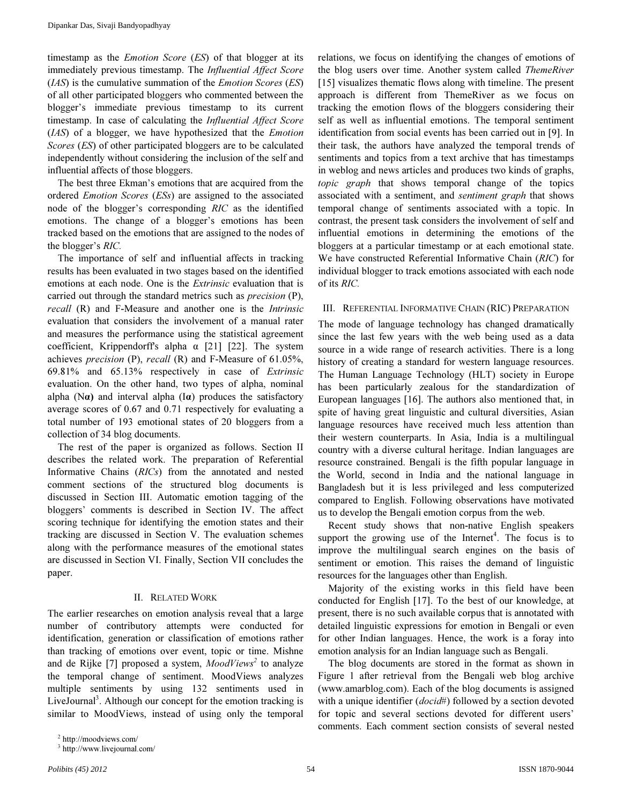timestamp as the *Emotion Score* (*ES*) of that blogger at its immediately previous timestamp. The *Influential Affect Score* (*IAS*) is the cumulative summation of the *Emotion Scores* (*ES*) of all other participated bloggers who commented between the blogger's immediate previous timestamp to its current timestamp. In case of calculating the *Influential Affect Score* (*IAS*) of a blogger, we have hypothesized that the *Emotion Scores* (*ES*) of other participated bloggers are to be calculated independently without considering the inclusion of the self and influential affects of those bloggers.

The best three Ekman's emotions that are acquired from the ordered *Emotion Scores* (*ESs*) are assigned to the associated node of the blogger's corresponding *RIC* as the identified emotions. The change of a blogger's emotions has been tracked based on the emotions that are assigned to the nodes of the blogger's *RIC.* 

The importance of self and influential affects in tracking results has been evaluated in two stages based on the identified emotions at each node. One is the *Extrinsic* evaluation that is carried out through the standard metrics such as *precision* (P), *recall* (R) and F-Measure and another one is the *Intrinsic* evaluation that considers the involvement of a manual rater and measures the performance using the statistical agreement coefficient, Krippendorff's alpha  $\alpha$  [21] [22]. The system achieves *precision* (P), *recall* (R) and F-Measure of 61.05%, 69.81% and 65.13% respectively in case of *Extrinsic* evaluation. On the other hand, two types of alpha, nominal alpha (N $\alpha$ ) and interval alpha (I $\alpha$ ) produces the satisfactory average scores of 0.67 and 0.71 respectively for evaluating a total number of 193 emotional states of 20 bloggers from a collection of 34 blog documents.

The rest of the paper is organized as follows. Section II describes the related work. The preparation of Referential Informative Chains (*RICs*) from the annotated and nested comment sections of the structured blog documents is discussed in Section III. Automatic emotion tagging of the bloggers' comments is described in Section IV. The affect scoring technique for identifying the emotion states and their tracking are discussed in Section V. The evaluation schemes along with the performance measures of the emotional states are discussed in Section VI. Finally, Section VII concludes the paper.

## II. RELATED WORK

The earlier researches on emotion analysis reveal that a large number of contributory attempts were conducted for identification, generation or classification of emotions rather than tracking of emotions over event, topic or time. Mishne and de Rijke [7] proposed a system, *MoodViews<sup>2</sup>* to analyze the temporal change of sentiment. MoodViews analyzes multiple sentiments by using 132 sentiments used in LiveJournal<sup>3</sup>. Although our concept for the emotion tracking is similar to MoodViews, instead of using only the temporal

relations, we focus on identifying the changes of emotions of the blog users over time. Another system called *ThemeRiver*  [15] visualizes thematic flows along with timeline. The present approach is different from ThemeRiver as we focus on tracking the emotion flows of the bloggers considering their self as well as influential emotions. The temporal sentiment identification from social events has been carried out in [9]. In their task, the authors have analyzed the temporal trends of sentiments and topics from a text archive that has timestamps in weblog and news articles and produces two kinds of graphs, *topic graph* that shows temporal change of the topics associated with a sentiment, and *sentiment graph* that shows temporal change of sentiments associated with a topic. In contrast, the present task considers the involvement of self and influential emotions in determining the emotions of the bloggers at a particular timestamp or at each emotional state. We have constructed Referential Informative Chain (*RIC*) for individual blogger to track emotions associated with each node of its *RIC.* 

#### III. REFERENTIAL INFORMATIVE CHAIN (RIC) PREPARATION

The mode of language technology has changed dramatically since the last few years with the web being used as a data source in a wide range of research activities. There is a long history of creating a standard for western language resources. The Human Language Technology (HLT) society in Europe has been particularly zealous for the standardization of European languages [16]. The authors also mentioned that, in spite of having great linguistic and cultural diversities, Asian language resources have received much less attention than their western counterparts. In Asia, India is a multilingual country with a diverse cultural heritage. Indian languages are resource constrained. Bengali is the fifth popular language in the World, second in India and the national language in Bangladesh but it is less privileged and less computerized compared to English. Following observations have motivated us to develop the Bengali emotion corpus from the web.

Recent study shows that non-native English speakers support the growing use of the Internet<sup>4</sup>. The focus is to improve the multilingual search engines on the basis of sentiment or emotion. This raises the demand of linguistic resources for the languages other than English.

Majority of the existing works in this field have been conducted for English [17]. To the best of our knowledge, at present, there is no such available corpus that is annotated with detailed linguistic expressions for emotion in Bengali or even for other Indian languages. Hence, the work is a foray into emotion analysis for an Indian language such as Bengali.

The blog documents are stored in the format as shown in Figure 1 after retrieval from the Bengali web blog archive (www.amarblog.com). Each of the blog documents is assigned with a unique identifier (*docid*#) followed by a section devoted for topic and several sections devoted for different users' comments. Each comment section consists of several nested

<sup>2</sup> http://moodviews.com/

<sup>3</sup> http://www.livejournal.com/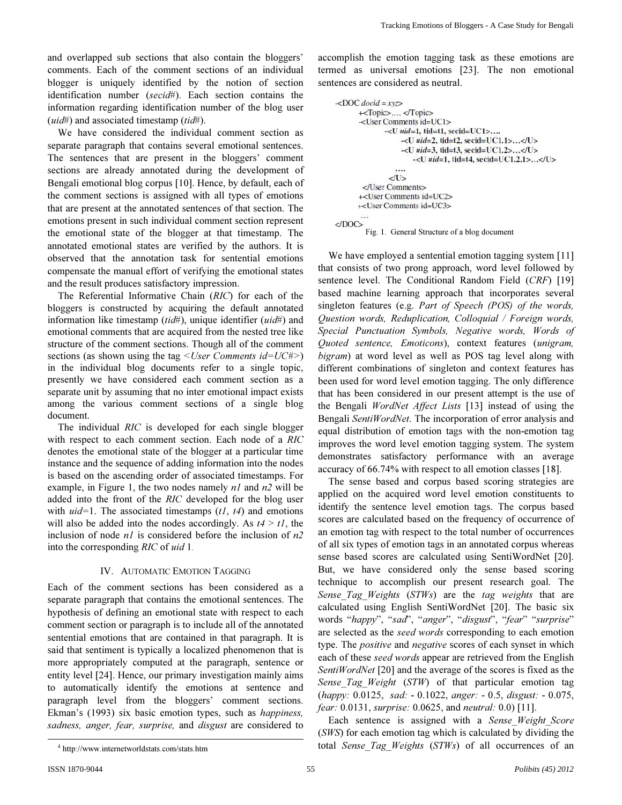and overlapped sub sections that also contain the bloggers' comments. Each of the comment sections of an individual blogger is uniquely identified by the notion of section identification number (*secid*#). Each section contains the information regarding identification number of the blog user (*uid*#) and associated timestamp (*tid*#).

We have considered the individual comment section as separate paragraph that contains several emotional sentences. The sentences that are present in the bloggers' comment sections are already annotated during the development of Bengali emotional blog corpus [10]. Hence, by default, each of the comment sections is assigned with all types of emotions that are present at the annotated sentences of that section. The emotions present in such individual comment section represent the emotional state of the blogger at that timestamp. The annotated emotional states are verified by the authors. It is observed that the annotation task for sentential emotions compensate the manual effort of verifying the emotional states and the result produces satisfactory impression.

The Referential Informative Chain (*RIC*) for each of the bloggers is constructed by acquiring the default annotated information like timestamp (*tid*#), unique identifier (*uid*#) and emotional comments that are acquired from the nested tree like structure of the comment sections. Though all of the comment sections (as shown using the tag *<User Comments id=UC#>*) in the individual blog documents refer to a single topic, presently we have considered each comment section as a separate unit by assuming that no inter emotional impact exists among the various comment sections of a single blog document.

The individual *RIC* is developed for each single blogger with respect to each comment section. Each node of a *RIC* denotes the emotional state of the blogger at a particular time instance and the sequence of adding information into the nodes is based on the ascending order of associated timestamps. For example, in Figure 1, the two nodes namely *n1* and *n2* will be added into the front of the *RIC* developed for the blog user with *uid=*1. The associated timestamps (*t1*, *t4*) and emotions will also be added into the nodes accordingly. As  $t/4 > t/$ , the inclusion of node *n1* is considered before the inclusion of *n2* into the corresponding *RIC* of *uid* 1.

## IV. AUTOMATIC EMOTION TAGGING

Each of the comment sections has been considered as a separate paragraph that contains the emotional sentences. The hypothesis of defining an emotional state with respect to each comment section or paragraph is to include all of the annotated sentential emotions that are contained in that paragraph. It is said that sentiment is typically a localized phenomenon that is more appropriately computed at the paragraph, sentence or entity level [24]. Hence, our primary investigation mainly aims to automatically identify the emotions at sentence and paragraph level from the bloggers' comment sections. Ekman's (1993) six basic emotion types, such as *happiness, sadness, anger, fear, surprise,* and *disgust* are considered to

accomplish the emotion tagging task as these emotions are termed as universal emotions [23]. The non emotional sentences are considered as neutral.

```
-DOC docid = xyz+<Topic>....</Topic>
      -<User Comments id=UC1>
             -<U uid=1, tid=t1, secid=UC1>....
                  -< U uid=2, tid=t2, secid=UC1.1>...</U>
                  -<br/>\leU uid=3, tid=t3, secid=UC1.2>...\lt/U>
                      -<U uid=1, tid=t4, secid=UC1.2.1>...</U>
               \langle/U>
       </User Comments>
      +<User Comments id=UC2>
      -<User Comments id=UC3>
<DOC>
         Fig. 1. General Structure of a blog document
```
We have employed a sentential emotion tagging system [11] that consists of two prong approach, word level followed by sentence level. The Conditional Random Field (*CRF*) [19] based machine learning approach that incorporates several singleton features (e.g. *Part of Speech (POS) of the words, Question words, Reduplication, Colloquial / Foreign words, Special Punctuation Symbols, Negative words, Words of Quoted sentence, Emoticons*), context features (*unigram, bigram*) at word level as well as POS tag level along with different combinations of singleton and context features has been used for word level emotion tagging. The only difference that has been considered in our present attempt is the use of the Bengali *WordNet Affect Lists* [13] instead of using the Bengali *SentiWordNet*. The incorporation of error analysis and equal distribution of emotion tags with the non-emotion tag improves the word level emotion tagging system. The system demonstrates satisfactory performance with an average accuracy of 66.74% with respect to all emotion classes [18].

The sense based and corpus based scoring strategies are applied on the acquired word level emotion constituents to identify the sentence level emotion tags. The corpus based scores are calculated based on the frequency of occurrence of an emotion tag with respect to the total number of occurrences of all six types of emotion tags in an annotated corpus whereas sense based scores are calculated using SentiWordNet [20]. But, we have considered only the sense based scoring technique to accomplish our present research goal. The *Sense\_Tag\_Weights* (*STWs*) are the *tag weights* that are calculated using English SentiWordNet [20]. The basic six words "*happy*", "*sad*", "*anger*", "*disgust*", "*fear*" "*surprise*" are selected as the *seed words* corresponding to each emotion type. The *positive* and *negative* scores of each synset in which each of these *seed words* appear are retrieved from the English *SentiWordNet* [20] and the average of the scores is fixed as the *Sense\_Tag\_Weight* (*STW*) of that particular emotion tag (*happy:* 0.0125, *sad:* - 0.1022, *anger:* - 0.5, *disgust:* - 0.075, *fear:* 0.0131, *surprise:* 0.0625, and *neutral:* 0.0) [11].

Each sentence is assigned with a *Sense\_Weight\_Score* (*SWS*) for each emotion tag which is calculated by dividing the total *Sense\_Tag\_Weights* (*STWs*) of all occurrences of an

-

<sup>4</sup> http://www.internetworldstats.com/stats.htm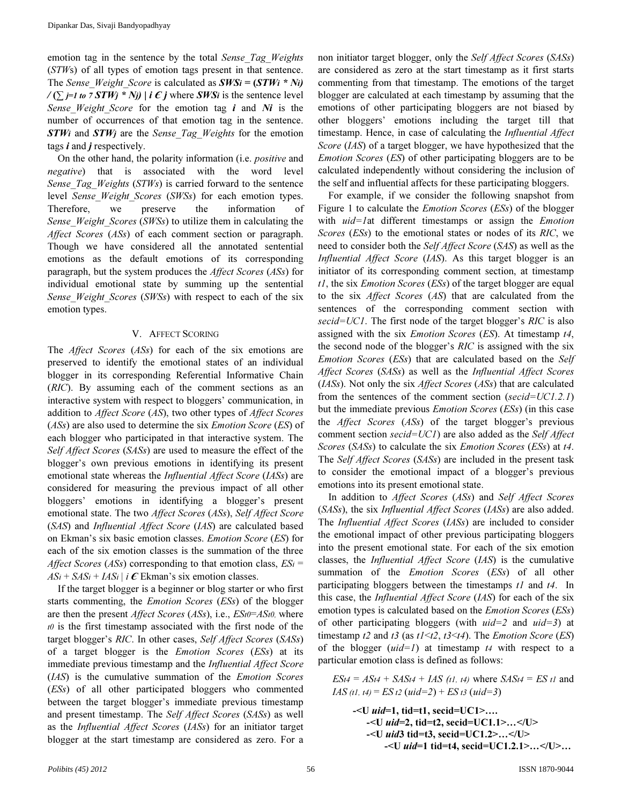emotion tag in the sentence by the total *Sense\_Tag\_Weights*  (*STW*s) of all types of emotion tags present in that sentence. The *Sense* Weight *Score* is calculated as  $SWSi = (STWi * Ni)$  $\angle (\sum_{i=1}^{n} t_i \circ \angle T W_i \times N_i)$  | i  $\epsilon$  j where SWSi is the sentence level *Sense Weight Score* for the emotion tag *i* and *Ni* is the number of occurrences of that emotion tag in the sentence. STWi and STWj are the *Sense\_Tag\_Weights* for the emotion tags  $\boldsymbol{i}$  and  $\boldsymbol{j}$  respectively.

On the other hand, the polarity information (i.e. *positive* and *negative*) that is associated with the word level *Sense\_Tag\_Weights* (*STWs*) is carried forward to the sentence level *Sense\_Weight\_Scores* (*SWSs*) for each emotion types. Therefore, we preserve the information of *Sense\_Weight\_Scores* (*SWSs*) to utilize them in calculating the *Affect Scores* (*ASs*) of each comment section or paragraph. Though we have considered all the annotated sentential emotions as the default emotions of its corresponding paragraph, but the system produces the *Affect Scores* (*ASs*) for individual emotional state by summing up the sentential *Sense\_Weight\_Scores* (*SWSs*) with respect to each of the six emotion types.

## V. AFFECT SCORING

The *Affect Scores* (*ASs*) for each of the six emotions are preserved to identify the emotional states of an individual blogger in its corresponding Referential Informative Chain (*RIC*). By assuming each of the comment sections as an interactive system with respect to bloggers' communication, in addition to *Affect Score* (*AS*), two other types of *Affect Scores* (*ASs*) are also used to determine the six *Emotion Score* (*ES*) of each blogger who participated in that interactive system. The *Self Affect Scores* (*SASs*) are used to measure the effect of the blogger's own previous emotions in identifying its present emotional state whereas the *Influential Affect Score* (*IASs*) are considered for measuring the previous impact of all other bloggers' emotions in identifying a blogger's present emotional state. The two *Affect Scores* (*ASs*), *Self Affect Score* (*SAS*) and *Influential Affect Score* (*IAS*) are calculated based on Ekman's six basic emotion classes. *Emotion Score* (*ES*) for each of the six emotion classes is the summation of the three *Affect Scores* (*ASs*) corresponding to that emotion class, *ES*i =  $AS_i + SAS_i + IAS_i | i \mathcal{E}$  Ekman's six emotion classes.

If the target blogger is a beginner or blog starter or who first starts commenting, the *Emotion Scores* (*ESs*) of the blogger are then the present *Affect Scores* (*ASs*), i.e., *ES*t0=*AS*t0, where  $t0$  is the first timestamp associated with the first node of the target blogger's *RIC*. In other cases, *Self Affect Scores* (*SASs*) of a target blogger is the *Emotion Scores* (*ESs*) at its immediate previous timestamp and the *Influential Affect Score* (*IAS*) is the cumulative summation of the *Emotion Scores* (*ESs*) of all other participated bloggers who commented between the target blogger's immediate previous timestamp and present timestamp. The *Self Affect Scores* (*SASs*) as well as the *Influential Affect Scores* (*IASs*) for an initiator target blogger at the start timestamp are considered as zero. For a non initiator target blogger, only the *Self Affect Scores* (*SASs*) are considered as zero at the start timestamp as it first starts commenting from that timestamp. The emotions of the target blogger are calculated at each timestamp by assuming that the emotions of other participating bloggers are not biased by other bloggers' emotions including the target till that timestamp. Hence, in case of calculating the *Influential Affect Score* (*IAS*) of a target blogger, we have hypothesized that the *Emotion Scores* (*ES*) of other participating bloggers are to be calculated independently without considering the inclusion of the self and influential affects for these participating bloggers.

For example, if we consider the following snapshot from Figure 1 to calculate the *Emotion Scores* (*ESs*) of the blogger with *uid=1*at different timestamps or assign the *Emotion Scores* (*ESs*) to the emotional states or nodes of its *RIC*, we need to consider both the *Self Affect Score* (*SAS*) as well as the *Influential Affect Score* (*IAS*). As this target blogger is an initiator of its corresponding comment section, at timestamp *t1*, the six *Emotion Scores* (*ESs*) of the target blogger are equal to the six *Affect Scores* (*AS*) that are calculated from the sentences of the corresponding comment section with *secid=UC1*. The first node of the target blogger's *RIC* is also assigned with the six *Emotion Scores* (*ES*). At timestamp *t4*, the second node of the blogger's *RIC* is assigned with the six *Emotion Scores* (*ESs*) that are calculated based on the *Self Affect Scores* (*SASs*) as well as the *Influential Affect Scores* (*IASs*). Not only the six *Affect Scores* (*ASs*) that are calculated from the sentences of the comment section (*secid=UC1.2.1*) but the immediate previous *Emotion Scores* (*ESs*) (in this case the *Affect Scores* (*ASs*) of the target blogger's previous comment section *secid=UC1*) are also added as the *Self Affect Scores* (*SASs*) to calculate the six *Emotion Scores* (*ESs*) at *t4*. The *Self Affect Scores* (*SASs*) are included in the present task to consider the emotional impact of a blogger's previous emotions into its present emotional state.

In addition to *Affect Scores* (*ASs*) and *Self Affect Scores* (*SASs*), the six *Influential Affect Scores* (*IASs*) are also added. The *Influential Affect Scores* (*IASs*) are included to consider the emotional impact of other previous participating bloggers into the present emotional state. For each of the six emotion classes, the *Influential Affect Score* (*IAS*) is the cumulative summation of the *Emotion Scores* (*ESs*) of all other participating bloggers between the timestamps *t1* and *t4*. In this case, the *Influential Affect Score* (*IAS*) for each of the six emotion types is calculated based on the *Emotion Scores* (*ESs*) of other participating bloggers (with *uid=2* and *uid=3*) at timestamp *t2* and *t3* (as *t1*<*t2*, *t3*<*t4*). The *Emotion Score* (*ES*) of the blogger (*uid=1*) at timestamp *t*4 with respect to a particular emotion class is defined as follows:

 $ES_{t4} = AS_{t4} + SAS_{t4} + IAS$  (*tl, t4*) where  $SAS_{t4} = ES_{t1}$  and *IAS* (t1, t4) = *ES* t2 (*uid=2*) + *ES* t3 (*uid=3*)

 $-$ <U *uid*=1, tid=t1, secid=UC1>....  $-$ <U *uid*=2, tid=t2, secid=UC1.1>...</U>  $-$ <U *uid*3 tid=t3, secid=UC1.2>...</U> -<U uid=1 tid=t4, secid=UC1.2.1>…</U>…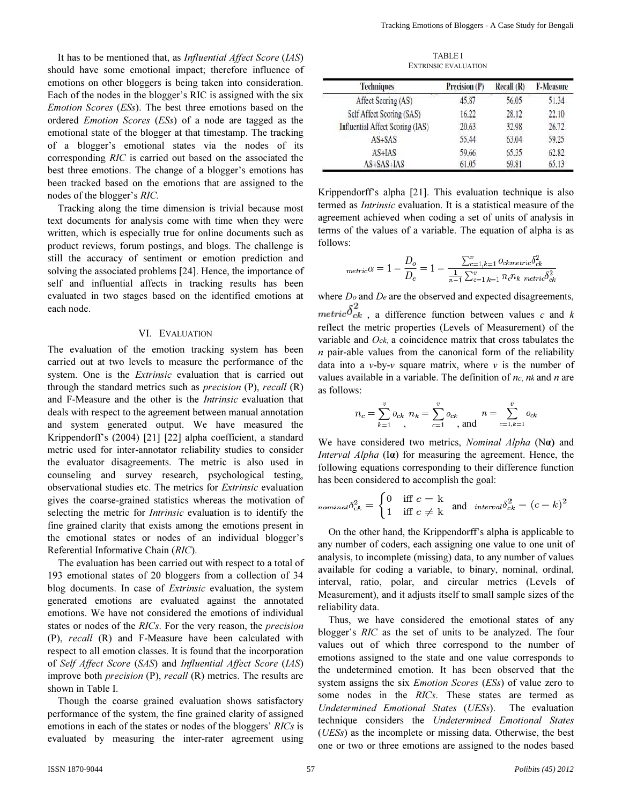TABLE I EXTRINSIC EVALUATION

| should have some emotional impact; therefore influence of                |
|--------------------------------------------------------------------------|
| emotions on other bloggers is being taken into consideration.            |
| Each of the nodes in the blogger's RIC is assigned with the six          |
| <i>Emotion Scores (ESs)</i> . The best three emotions based on the       |
| ordered <i>Emotion Scores</i> ( <i>ESs</i> ) of a node are tagged as the |
| emotional state of the blogger at that timestamp. The tracking           |
| of a blogger's emotional states via the nodes of its                     |
| corresponding RIC is carried out based on the associated the             |
| best three emotions. The change of a blogger's emotions has              |
| been tracked based on the emotions that are assigned to the              |
| nodes of the blogger's <i>RIC</i> .                                      |

It has to be mentioned that, as *Influential Affect Score* (*IAS*)

Tracking along the time dimension is trivial because most text documents for analysis come with time when they were written, which is especially true for online documents such as product reviews, forum postings, and blogs. The challenge is still the accuracy of sentiment or emotion prediction and solving the associated problems [24]. Hence, the importance of self and influential affects in tracking results has been evaluated in two stages based on the identified emotions at each node.

### VI. EVALUATION

The evaluation of the emotion tracking system has been carried out at two levels to measure the performance of the system. One is the *Extrinsic* evaluation that is carried out through the standard metrics such as *precision* (P), *recall* (R) and F-Measure and the other is the *Intrinsic* evaluation that deals with respect to the agreement between manual annotation and system generated output. We have measured the Krippendorff's (2004) [21] [22] alpha coefficient, a standard metric used for inter-annotator reliability studies to consider the evaluator disagreements. The metric is also used in counseling and survey research, psychological testing, observational studies etc. The metrics for *Extrinsic* evaluation gives the coarse-grained statistics whereas the motivation of selecting the metric for *Intrinsic* evaluation is to identify the fine grained clarity that exists among the emotions present in the emotional states or nodes of an individual blogger's Referential Informative Chain (*RIC*).

The evaluation has been carried out with respect to a total of 193 emotional states of 20 bloggers from a collection of 34 blog documents. In case of *Extrinsic* evaluation, the system generated emotions are evaluated against the annotated emotions. We have not considered the emotions of individual states or nodes of the *RICs*. For the very reason, the *precision* (P), *recall* (R) and F-Measure have been calculated with respect to all emotion classes. It is found that the incorporation of *Self Affect Score* (*SAS*) and *Influential Affect Score* (*IAS*) improve both *precision* (P), *recall* (R) metrics. The results are shown in Table I.

Though the coarse grained evaluation shows satisfactory performance of the system, the fine grained clarity of assigned emotions in each of the states or nodes of the bloggers' *RICs* is evaluated by measuring the inter-rater agreement using

| <b>Techniques</b>                | Precision (P) | Recall(R) | <b>F-Measure</b> |
|----------------------------------|---------------|-----------|------------------|
| Affect Scoring (AS)              | 45.87         | 56.05     | 51.34            |
| Self Affect Scoring (SAS)        | 16.22         | 28.12     | 22.10            |
| Influential Affect Scoring (IAS) | 20.63         | 32.98     | 26.72            |
| $AS+SAS$                         | 55.44         | 63.04     | 59.25            |
| $AS+IAS$                         | 59.66         | 65.35     | 62.82            |
| AS+SAS+IAS                       | 61.05         | 69.81     | 65.13            |

Krippendorff's alpha [21]. This evaluation technique is also termed as *Intrinsic* evaluation. It is a statistical measure of the agreement achieved when coding a set of units of analysis in terms of the values of a variable. The equation of alpha is as follows:

$$
metric \alpha = 1 - \frac{D_o}{D_e} = 1 - \frac{\sum_{c=1, k=1}^{v} o_{ckmetric} \delta_{ck}^2}{\frac{1}{n-1} \sum_{c=1, k=1}^{v} n_c n_k \ metric \delta_{ck}^2}
$$

where *D*o and *D*e are the observed and expected disagreements,  $metric \delta^2_{ck}$  , a difference function between values  $c$  and  $k$ reflect the metric properties (Levels of Measurement) of the variable and *O*ck, a coincidence matrix that cross tabulates the *n* pair-able values from the canonical form of the reliability data into a  $v$ -by- $v$  square matrix, where  $v$  is the number of values available in a variable. The definition of *n*c, *n*k and *n* are as follows:

$$
n_c = \sum_{k=1}^{v} o_{ck} \ n_k = \sum_{c=1}^{v} o_{ck} \ n = \sum_{c=1, k=1}^{v} o_{ck}
$$

We have considered two metrics, *Nominal Alpha* (Nα) and *Interval Alpha* (Ia) for measuring the agreement. Hence, the following equations corresponding to their difference function has been considered to accomplish the goal:

$$
_{nominal} \delta_{ck}^{2} = \begin{cases} 0 & \text{iff } c = k \\ 1 & \text{iff } c \neq k \end{cases} \text{ and }_{interval} \delta_{ck}^{2} = (c - k)^{2}
$$

On the other hand, the Krippendorff's alpha is applicable to any number of coders, each assigning one value to one unit of analysis, to incomplete (missing) data, to any number of values available for coding a variable, to binary, nominal, ordinal, interval, ratio, polar, and circular metrics (Levels of Measurement), and it adjusts itself to small sample sizes of the reliability data.

Thus, we have considered the emotional states of any blogger's *RIC* as the set of units to be analyzed. The four values out of which three correspond to the number of emotions assigned to the state and one value corresponds to the undetermined emotion. It has been observed that the system assigns the six *Emotion Scores* (*ESs*) of value zero to some nodes in the *RICs*. These states are termed as *Undetermined Emotional States* (*UESs*). The evaluation technique considers the *Undetermined Emotional States* (*UESs*) as the incomplete or missing data. Otherwise, the best one or two or three emotions are assigned to the nodes based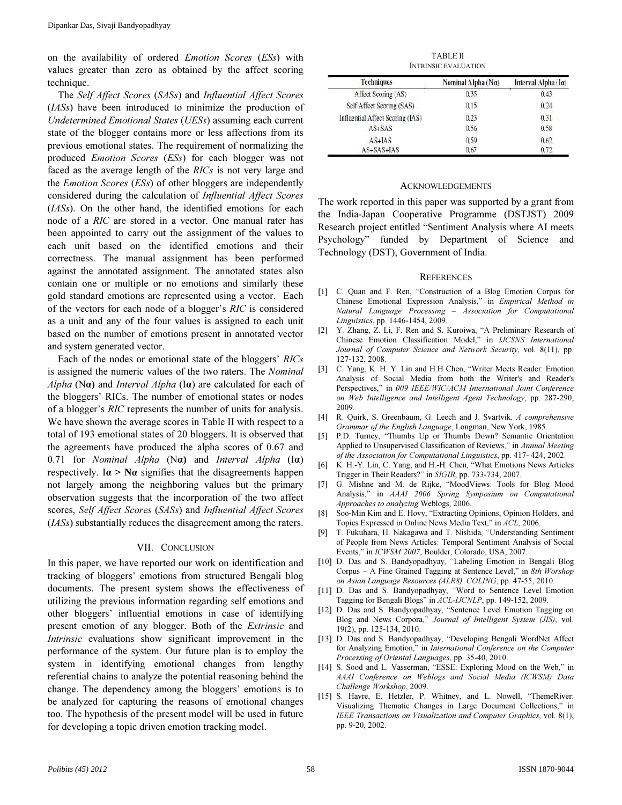on the availability of ordered *Emotion Scores* (*ESs*) with values greater than zero as obtained by the affect scoring technique.

The *Self Affect Scores* (*SASs*) and *Influential Affect Scores* (*IASs*) have been introduced to minimize the production of *Undetermined Emotional States* (*UESs*) assuming each current state of the blogger contains more or less affections from its previous emotional states. The requirement of normalizing the produced *Emotion Scores* (*ESs*) for each blogger was not faced as the average length of the *RICs* is not very large and the *Emotion Scores* (*ESs*) of other bloggers are independently considered during the calculation of *Influential Affect Scores* (*IASs*). On the other hand, the identified emotions for each node of a *RIC* are stored in a vector. One manual rater has been appointed to carry out the assignment of the values to each unit based on the identified emotions and their correctness. The manual assignment has been performed against the annotated assignment. The annotated states also contain one or multiple or no emotions and similarly these gold standard emotions are represented using a vector. Each of the vectors for each node of a blogger's *RIC* is considered as a unit and any of the four values is assigned to each unit based on the number of emotions present in annotated vector and system generated vector.

Each of the nodes or emotional state of the bloggers' *RICs* is assigned the numeric values of the two raters. The *Nominal Alpha* (Nα) and *Interval Alpha* (Iα) are calculated for each of the bloggers' RICs. The number of emotional states or nodes of a blogger's *RIC* represents the number of units for analysis. We have shown the average scores in Table II with respect to a total of 193 emotional states of 20 bloggers. It is observed that the agreements have produced the alpha scores of 0.67 and 0.71 for *Nominal Alpha* (Nα) and *Interval Alpha* (Iα) respectively. I $\alpha$  > N $\alpha$  signifies that the disagreements happen not largely among the neighboring values but the primary observation suggests that the incorporation of the two affect scores, *Self Affect Scores* (*SASs*) and *Influential Affect Scores* (*IASs*) substantially reduces the disagreement among the raters.

#### VII. CONCLUSION

In this paper, we have reported our work on identification and tracking of bloggers' emotions from structured Bengali blog documents. The present system shows the effectiveness of utilizing the previous information regarding self emotions and other bloggers' influential emotions in case of identifying present emotion of any blogger. Both of the *Extrinsic* and *Intrinsic* evaluations show significant improvement in the performance of the system. Our future plan is to employ the system in identifying emotional changes from lengthy referential chains to analyze the potential reasoning behind the change. The dependency among the bloggers' emotions is to be analyzed for capturing the reasons of emotional changes too. The hypothesis of the present model will be used in future for developing a topic driven emotion tracking model.

TABLE II INTRINSIC EVALUATION

| <b>Techniques</b>                | Nominal Alpha $(N\alpha)$ | Interval Alpha $(I\alpha)$ |  |
|----------------------------------|---------------------------|----------------------------|--|
| Affect Scoring (AS)              | 0.35                      | 0.43                       |  |
| Self Affect Scoring (SAS)        | 0.15                      | 0.24                       |  |
| Influential Affect Scoring (IAS) | 0.23                      | 0.31                       |  |
| AS+SAS                           | 0.56                      | 0.58                       |  |
| $AS+IAS$                         | 0.59                      | 0.62                       |  |
| AS+SAS+IAS                       | 0.67                      | 0.72                       |  |

#### ACKNOWLEDGEMENTS

The work reported in this paper was supported by a grant from the India-Japan Cooperative Programme (DSTJST) 2009 Research project entitled "Sentiment Analysis where AI meets Psychology" funded by Department of Science and Technology (DST), Government of India.

#### **REFERENCES**

- [1] C. Quan and F. Ren, "Construction of a Blog Emotion Corpus for Chinese Emotional Expression Analysis," in Empirical Method in Natural Language Processing – Association for Computational Linguistics, pp. 1446-1454, 2009.
- [2] Y. Zhang, Z. Li, F. Ren and S. Kuroiwa, "A Preliminary Research of Chinese Emotion Classification Model," in IJCSNS International Journal of Computer Science and Network Security, vol. 8(11), pp. 127-132, 2008.
- [3] C. Yang, K. H. Y. Lin and H.H Chen, "Writer Meets Reader: Emotion Analysis of Social Media from both the Writer's and Reader's Perspectives," in 009 IEEE/WIC/ACM International Joint Conference on Web Intelligence and Intelligent Agent Technology, pp. 287-290, 2009.
- [4] R. Quirk, S. Greenbaum, G. Leech and J. Svartvik, A comprehensive Grammar of the English Language, Longman, New York, 1985.
- [5] P.D. Turney, "Thumbs Up or Thumbs Down? Semantic Orientation Applied to Unsupervised Classification of Reviews," in Annual Meeting of the Association for Computational Linguistics, pp. 417- 424, 2002.
- [6] K. H.-Y. Lin, C. Yang, and H.-H. Chen, "What Emotions News Articles Trigger in Their Readers?" in SIGIR, pp. 733-734, 2007.
- [7] G. Mishne and M. de Rijke, "MoodViews: Tools for Blog Mood Analysis," in AAAI 2006 Spring Symposium on Computational Approaches to analyzing Weblogs, 2006.
- [8] Soo-Min Kim and E. Hovy, "Extracting Opinions, Opinion Holders, and Topics Expressed in Online News Media Text," in ACL, 2006.
- [9] T. Fukuhara, H. Nakagawa and T. Nishida, "Understanding Sentiment of People from News Articles: Temporal Sentiment Analysis of Social Events," in ICWSM'2007, Boulder, Colorado, USA, 2007.
- [10] D. Das and S. Bandyopadhyay, "Labeling Emotion in Bengali Blog Corpus – A Fine Grained Tagging at Sentence Level," in 8th Worshop on Asian Language Resources (ALR8), COLING, pp. 47-55, 2010.
- [11] D. Das and S. Bandyopadhyay, "Word to Sentence Level Emotion Tagging for Bengali Blogs" in ACL-IJCNLP, pp. 149-152, 2009.
- [12] D. Das and S. Bandyopadhyay, "Sentence Level Emotion Tagging on Blog and News Corpora," Journal of Intelligent System (JIS), vol. 19(2), pp. 125-134, 2010.
- [13] D. Das and S. Bandyopadhyay, "Developing Bengali WordNet Affect for Analyzing Emotion," in International Conference on the Computer Processing of Oriental Languages, pp. 35-40, 2010.
- [14] S. Sood and L. Vasserman, "ESSE: Exploring Mood on the Web," in AAAI Conference on Weblogs and Social Media (ICWSM) Data Challenge Workshop, 2009.
- [15] S. Havre, E. Hetzler, P. Whitney, and L. Nowell, "ThemeRiver: Visualizing Thematic Changes in Large Document Collections," in IEEE Transactions on Visualization and Computer Graphics, vol. 8(1), pp. 9-20, 2002.